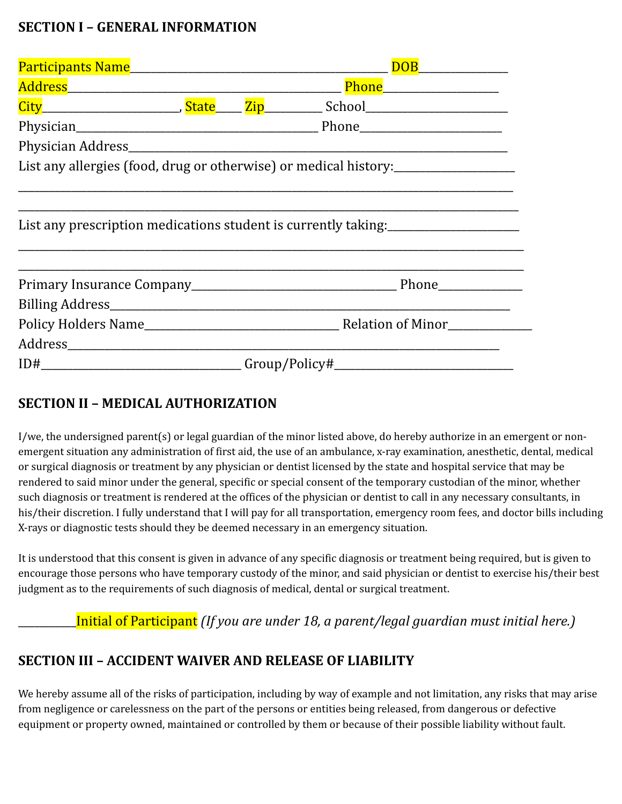## **SECTION I – GENERAL INFORMATION**

| List any allergies (food, drug or otherwise) or medical history:________________ |  |  |
|----------------------------------------------------------------------------------|--|--|
| List any prescription medications student is currently taking:                   |  |  |
|                                                                                  |  |  |
|                                                                                  |  |  |
|                                                                                  |  |  |
| $ID#$ $Group/Policy#$ $\qquad \qquad \qquad$                                     |  |  |

## **SECTION II – MEDICAL AUTHORIZATION**

I/we, the undersigned parent(s) or legal guardian of the minor listed above, do hereby authorize in an emergent or nonemergent situation any administration of first aid, the use of an ambulance, x-ray examination, anesthetic, dental, medical or surgical diagnosis or treatment by any physician or dentist licensed by the state and hospital service that may be rendered to said minor under the general, specific or special consent of the temporary custodian of the minor, whether such diagnosis or treatment is rendered at the offices of the physician or dentist to call in any necessary consultants, in his/their discretion. I fully understand that I will pay for all transportation, emergency room fees, and doctor bills including X-rays or diagnostic tests should they be deemed necessary in an emergency situation.

It is understood that this consent is given in advance of any specific diagnosis or treatment being required, but is given to encourage those persons who have temporary custody of the minor, and said physician or dentist to exercise his/their best judgment as to the requirements of such diagnosis of medical, dental or surgical treatment.

\_\_\_\_\_\_\_\_\_\_\_Initial of Participant *(If you are under 18, a parent/legal guardian must initial here.)*

## **SECTION III – ACCIDENT WAIVER AND RELEASE OF LIABILITY**

We hereby assume all of the risks of participation, including by way of example and not limitation, any risks that may arise from negligence or carelessness on the part of the persons or entities being released, from dangerous or defective equipment or property owned, maintained or controlled by them or because of their possible liability without fault.